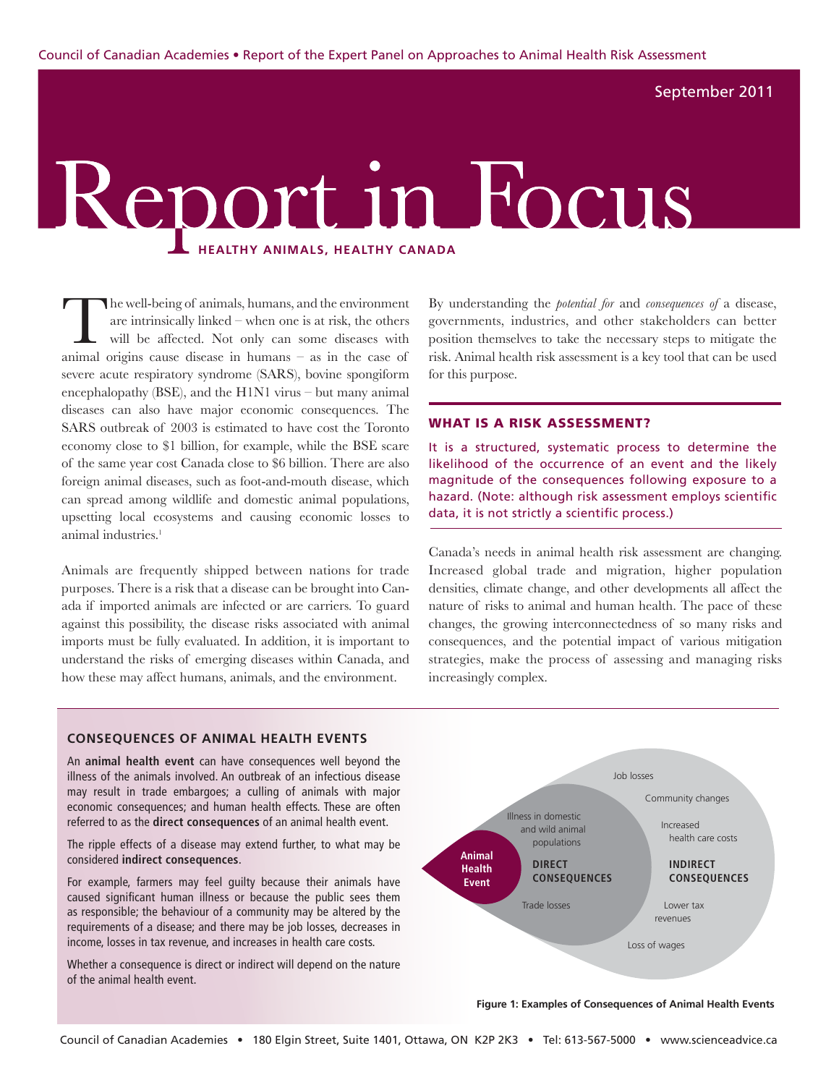September 2011

# Report in Focus **Healthy Animals, Healthy Canada**

The well-being of animals, humans, and the environment<br>are intrinsically linked – when one is at risk, the others<br>will be affected. Not only can some diseases with are intrinsically linked – when one is at risk, the others will be affected. Not only can some diseases with animal origins cause disease in humans – as in the case of severe acute respiratory syndrome (SARS), bovine spongiform encephalopathy (BSE), and the H1N1 virus – but many animal diseases can also have major economic consequences. The SARS outbreak of 2003 is estimated to have cost the Toronto economy close to \$1 billion, for example, while the BSE scare of the same year cost Canada close to \$6 billion. There are also foreign animal diseases, such as foot-and-mouth disease, which can spread among wildlife and domestic animal populations, upsetting local ecosystems and causing economic losses to animal industries.<sup>1</sup>

Animals are frequently shipped between nations for trade purposes. There is a risk that a disease can be brought into Canada if imported animals are infected or are carriers. To guard against this possibility, the disease risks associated with animal imports must be fully evaluated. In addition, it is important to understand the risks of emerging diseases within Canada, and how these may affect humans, animals, and the environment.

By understanding the *potential for* and *consequences of* a disease, governments, industries, and other stakeholders can better position themselves to take the necessary steps to mitigate the risk. Animal health risk assessment is a key tool that can be used for this purpose.

#### WHAT IS A RISK ASSESSMENT?

It is a structured, systematic process to determine the likelihood of the occurrence of an event and the likely magnitude of the consequences following exposure to a hazard. (Note: although risk assessment employs scientific data, it is not strictly a scientific process.)

Canada's needs in animal health risk assessment are changing. Increased global trade and migration, higher population densities, climate change, and other developments all affect the nature of risks to animal and human health. The pace of these changes, the growing interconnectedness of so many risks and consequences, and the potential impact of various mitigation strategies, make the process of assessing and managing risks increasingly complex.

#### **Consequences of Animal Health Events**

An **animal health event** can have consequences well beyond the illness of the animals involved. An outbreak of an infectious disease may result in trade embargoes; a culling of animals with major economic consequences; and human health effects. These are often referred to as the **direct consequences** of an animal health event.

The ripple effects of a disease may extend further, to what may be considered **indirect consequences**.

For example, farmers may feel guilty because their animals have caused significant human illness or because the public sees them as responsible; the behaviour of a community may be altered by the requirements of a disease; and there may be job losses, decreases in income, losses in tax revenue, and increases in health care costs.

Whether a consequence is direct or indirect will depend on the nature of the animal health event.



**Figure 1: Examples of Consequences of Animal Health Events**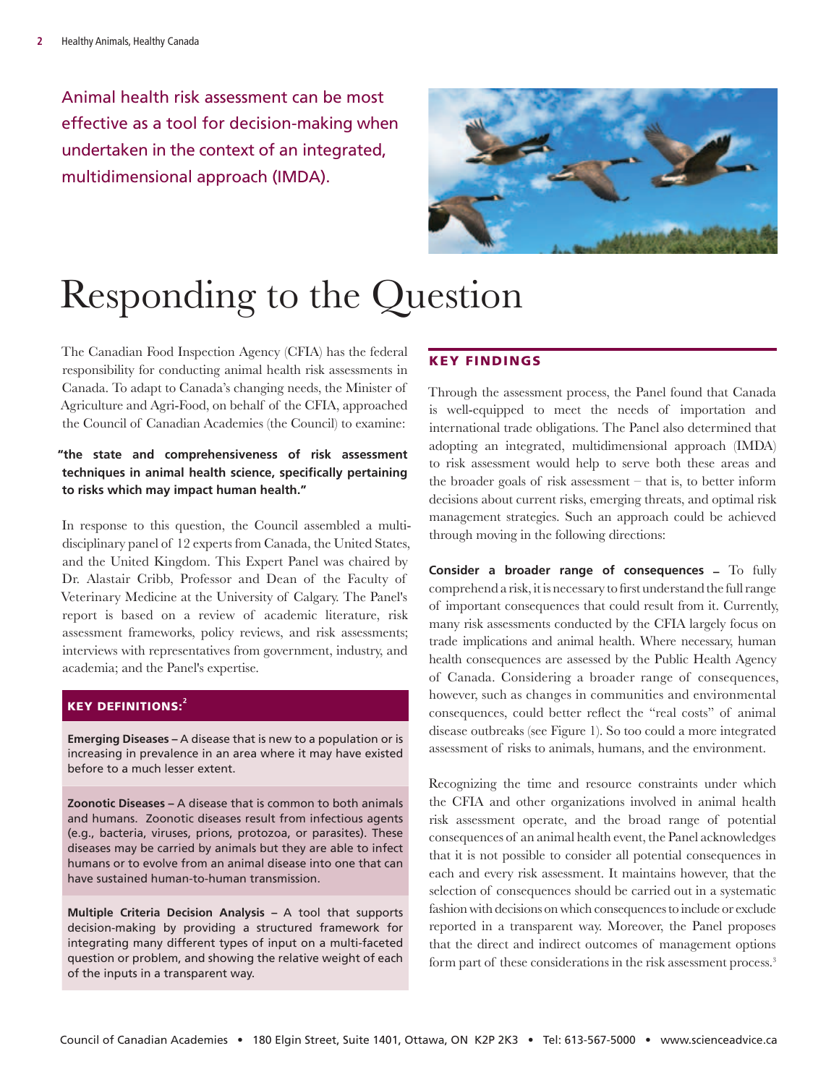Animal health risk assessment can be most effective as a tool for decision-making when undertaken in the context of an integrated, multidimensional approach (IMDA).



# Responding to the Question

The Canadian Food Inspection Agency (CFIA) has the federal responsibility for conducting animal health risk assessments in Canada. To adapt to Canada's changing needs, the Minister of Agriculture and Agri-Food, on behalf of the CFIA, approached the Council of Canadian Academies (the Council) to examine:

### **"the state and comprehensiveness of risk assessment techniques in animal health science, specifically pertaining to risks which may impact human health."**

In response to this question, the Council assembled a multidisciplinary panel of 12 experts from Canada, the United States, and the United Kingdom. This Expert Panel was chaired by Dr. Alastair Cribb, Professor and Dean of the Faculty of Veterinary Medicine at the University of Calgary. The Panel's report is based on a review of academic literature, risk assessment frameworks, policy reviews, and risk assessments; interviews with representatives from government, industry, and academia; and the Panel's expertise.

#### key Definitions:**<sup>2</sup>**

**Emerging Diseases –** A disease that is new to a population or is increasing in prevalence in an area where it may have existed before to a much lesser extent.

**Zoonotic Diseases –** A disease that is common to both animals and humans. Zoonotic diseases result from infectious agents (e.g., bacteria, viruses, prions, protozoa, or parasites). These diseases may be carried by animals but they are able to infect humans or to evolve from an animal disease into one that can have sustained human-to-human transmission.

**Multiple Criteria Decision Analysis –** A tool that supports decision-making by providing a structured framework for integrating many different types of input on a multi-faceted question or problem, and showing the relative weight of each of the inputs in a transparent way.

### Key Findings

Through the assessment process, the Panel found that Canada is well-equipped to meet the needs of importation and international trade obligations. The Panel also determined that adopting an integrated, multidimensional approach (IMDA) to risk assessment would help to serve both these areas and the broader goals of risk assessment – that is, to better inform decisions about current risks, emerging threats, and optimal risk management strategies. Such an approach could be achieved through moving in the following directions:

**Consider a broader range of consequences –** To fully comprehend a risk, it is necessary to first understand the full range of important consequences that could result from it. Currently, many risk assessments conducted by the CFIA largely focus on trade implications and animal health. Where necessary, human health consequences are assessed by the Public Health Agency of Canada. Considering a broader range of consequences, however, such as changes in communities and environmental consequences, could better reflect the "real costs" of animal disease outbreaks (see Figure 1). So too could a more integrated assessment of risks to animals, humans, and the environment.

Recognizing the time and resource constraints under which the CFIA and other organizations involved in animal health risk assessment operate, and the broad range of potential consequences of an animal health event, the Panel acknowledges that it is not possible to consider all potential consequences in each and every risk assessment. It maintains however, that the selection of consequences should be carried out in a systematic fashion with decisions on which consequences to include or exclude reported in a transparent way. Moreover, the Panel proposes that the direct and indirect outcomes of management options form part of these considerations in the risk assessment process.<sup>3</sup>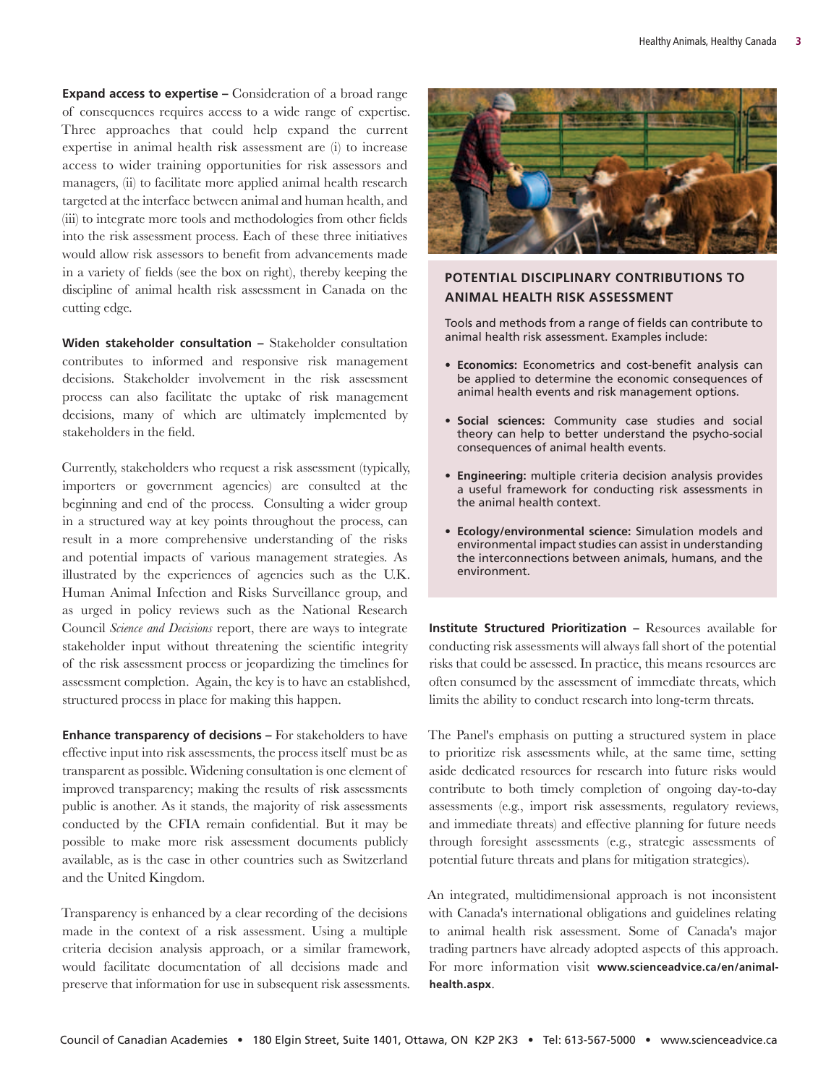**Expand access to expertise –** Consideration of a broad range of consequences requires access to a wide range of expertise. Three approaches that could help expand the current expertise in animal health risk assessment are (i) to increase access to wider training opportunities for risk assessors and managers, (ii) to facilitate more applied animal health research targeted at the interface between animal and human health, and (iii) to integrate more tools and methodologies from other fields into the risk assessment process. Each of these three initiatives would allow risk assessors to benefit from advancements made in a variety of fields (see the box on right), thereby keeping the discipline of animal health risk assessment in Canada on the cutting edge.

**Widen stakeholder consultation –** Stakeholder consultation contributes to informed and responsive risk management decisions. Stakeholder involvement in the risk assessment process can also facilitate the uptake of risk management decisions, many of which are ultimately implemented by stakeholders in the field.

Currently, stakeholders who request a risk assessment (typically, importers or government agencies) are consulted at the beginning and end of the process. Consulting a wider group in a structured way at key points throughout the process, can result in a more comprehensive understanding of the risks and potential impacts of various management strategies. As illustrated by the experiences of agencies such as the U.K. Human Animal Infection and Risks Surveillance group, and as urged in policy reviews such as the National Research Council *Science and Decisions* report, there are ways to integrate stakeholder input without threatening the scientific integrity of the risk assessment process or jeopardizing the timelines for assessment completion. Again, the key is to have an established, structured process in place for making this happen.

**Enhance transparency of decisions –** For stakeholders to have effective input into risk assessments, the process itself must be as transparent as possible. Widening consultation is one element of improved transparency; making the results of risk assessments public is another. As it stands, the majority of risk assessments conducted by the CFIA remain confidential. But it may be possible to make more risk assessment documents publicly available, as is the case in other countries such as Switzerland and the United Kingdom.

Transparency is enhanced by a clear recording of the decisions made in the context of a risk assessment. Using a multiple criteria decision analysis approach, or a similar framework, would facilitate documentation of all decisions made and preserve that information for use in subsequent risk assessments.



## **Potential Disciplinary Contributions to Animal Health Risk Assessment**

Tools and methods from a range of fields can contribute to animal health risk assessment. Examples include:

- **• Economics:** Econometrics and cost-benefit analysis can be applied to determine the economic consequences of animal health events and risk management options.
- **• Social sciences:** Community case studies and social theory can help to better understand the psycho-social consequences of animal health events.
- **• Engineering:** multiple criteria decision analysis provides a useful framework for conducting risk assessments in the animal health context.
- **• Ecology/environmental science:** Simulation models and environmental impact studies can assist in understanding the interconnections between animals, humans, and the environment.

**Institute Structured Prioritization –** Resources available for conducting risk assessments will always fall short of the potential risks that could be assessed. In practice, this means resources are often consumed by the assessment of immediate threats, which limits the ability to conduct research into long-term threats.

The Panel's emphasis on putting a structured system in place to prioritize risk assessments while, at the same time, setting aside dedicated resources for research into future risks would contribute to both timely completion of ongoing day-to-day assessments (e.g., import risk assessments, regulatory reviews, and immediate threats) and effective planning for future needs through foresight assessments (e.g., strategic assessments of potential future threats and plans for mitigation strategies).

An integrated, multidimensional approach is not inconsistent with Canada's international obligations and guidelines relating to animal health risk assessment. Some of Canada's major trading partners have already adopted aspects of this approach. For more information visit **www.scienceadvice.ca/en/animalhealth.aspx**.